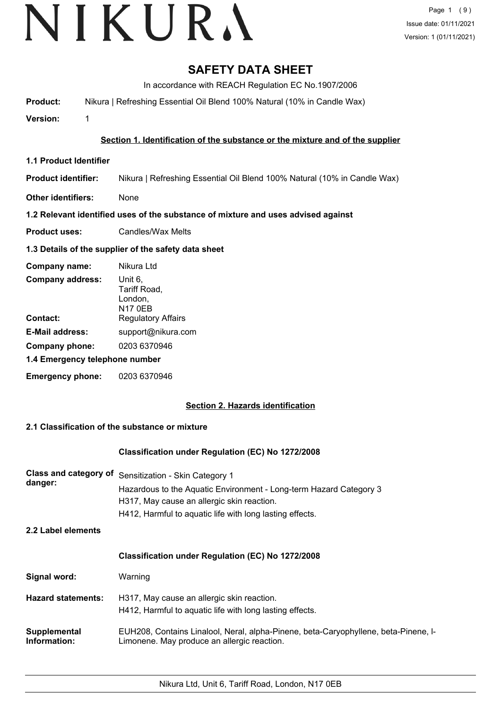# **SAFETY DATA SHEET**

In accordance with REACH Regulation EC No.1907/2006

**Product:** Nikura | Refreshing Essential Oil Blend 100% Natural (10% in Candle Wax)

**Version:** 1

## **Section 1. Identification of the substance or the mixture and of the supplier**

- **1.1 Product Identifier**
- **Product identifier:** Nikura | Refreshing Essential Oil Blend 100% Natural (10% in Candle Wax)
- **Other identifiers:** None

## **1.2 Relevant identified uses of the substance of mixture and uses advised against**

**Product uses:** Candles/Wax Melts

## **1.3 Details of the supplier of the safety data sheet**

| Company name:                  | Nikura Ltd                                           |
|--------------------------------|------------------------------------------------------|
| <b>Company address:</b>        | Unit 6,<br>Tariff Road,<br>London,<br><b>N17 0EB</b> |
| Contact:                       | <b>Regulatory Affairs</b>                            |
| <b>E-Mail address:</b>         | support@nikura.com                                   |
| Company phone:                 | 0203 6370946                                         |
| 1.4 Emergency telephone number |                                                      |
| <b>Emergency phone:</b>        | 0203 6370946                                         |

# **Section 2. Hazards identification**

# **2.1 Classification of the substance or mixture**

## **Classification under Regulation (EC) No 1272/2008**

| <b>Class and category of</b><br>danger: | Sensitization - Skin Category 1<br>Hazardous to the Aquatic Environment - Long-term Hazard Category 3<br>H317, May cause an allergic skin reaction.<br>H412, Harmful to aquatic life with long lasting effects. |
|-----------------------------------------|-----------------------------------------------------------------------------------------------------------------------------------------------------------------------------------------------------------------|
| 2.2 Label elements                      |                                                                                                                                                                                                                 |
|                                         | <b>Classification under Regulation (EC) No 1272/2008</b>                                                                                                                                                        |
| Signal word:                            | Warning                                                                                                                                                                                                         |
| <b>Hazard statements:</b>               | H317, May cause an allergic skin reaction.<br>H412, Harmful to aquatic life with long lasting effects.                                                                                                          |
| Supplemental<br>Information:            | EUH208, Contains Linalool, Neral, alpha-Pinene, beta-Caryophyllene, beta-Pinene, I-<br>Limonene. May produce an allergic reaction.                                                                              |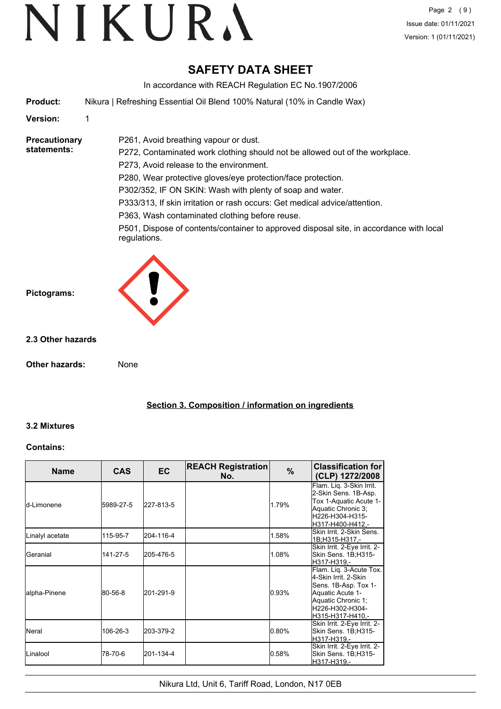# **SAFETY DATA SHEET**

In accordance with REACH Regulation EC No.1907/2006

**Product:** Nikura | Refreshing Essential Oil Blend 100% Natural (10% in Candle Wax)

P261, Avoid breathing vapour or dust.

## **Version:** 1

#### **Precautionary statements:**

P272, Contaminated work clothing should not be allowed out of the workplace. P273, Avoid release to the environment. P280, Wear protective gloves/eye protection/face protection. P302/352, IF ON SKIN: Wash with plenty of soap and water. P333/313, If skin irritation or rash occurs: Get medical advice/attention. P363, Wash contaminated clothing before reuse.

P501, Dispose of contents/container to approved disposal site, in accordance with local regulations.



## **2.3 Other hazards**

**Other hazards:** None

**Section 3. Composition / information on ingredients**

## **3.2 Mixtures**

## **Contains:**

| <b>Name</b>      | <b>CAS</b> | <b>EC</b> | <b>REACH Registration</b><br>No. | $\%$  | <b>Classification for</b><br>(CLP) 1272/2008                                                                                                             |
|------------------|------------|-----------|----------------------------------|-------|----------------------------------------------------------------------------------------------------------------------------------------------------------|
| ld-I imonene     | 5989-27-5  | 227-813-5 |                                  | 1.79% | Flam. Lig. 3-Skin Irrit.<br>2-Skin Sens. 1B-Asp.<br>Tox 1-Aquatic Acute 1-<br>Aquatic Chronic 3:<br>H226-H304-H315-<br>H317-H400-H412,-                  |
| Linalyl acetate  | 115-95-7   | 204-116-4 |                                  | 1.58% | Skin Irrit, 2-Skin Sens.<br>1B;H315-H317 .-                                                                                                              |
| Geranial         | 141-27-5   | 205-476-5 |                                  | 1.08% | Skin Irrit. 2-Eye Irrit. 2-<br>Skin Sens. 1B;H315-<br>H317-H319,-                                                                                        |
| lalpha-Pinene    | 80-56-8    | 201-291-9 |                                  | 0.93% | Flam. Lig. 3-Acute Tox.<br>4-Skin Irrit. 2-Skin<br>Sens. 1B-Asp. Tox 1-<br>Aquatic Acute 1-<br>Aquatic Chronic 1;<br>H226-H302-H304-<br>H315-H317-H410,- |
| <b>Neral</b>     | 106-26-3   | 203-379-2 |                                  | 0.80% | Skin Irrit. 2-Eye Irrit. 2-<br>Skin Sens. 1B;H315-<br>H317-H319,-                                                                                        |
| <b>L</b> inalool | 78-70-6    | 201-134-4 |                                  | 0.58% | Skin Irrit. 2-Eye Irrit. 2-<br>Skin Sens. 1B;H315-<br>H317-H319,-                                                                                        |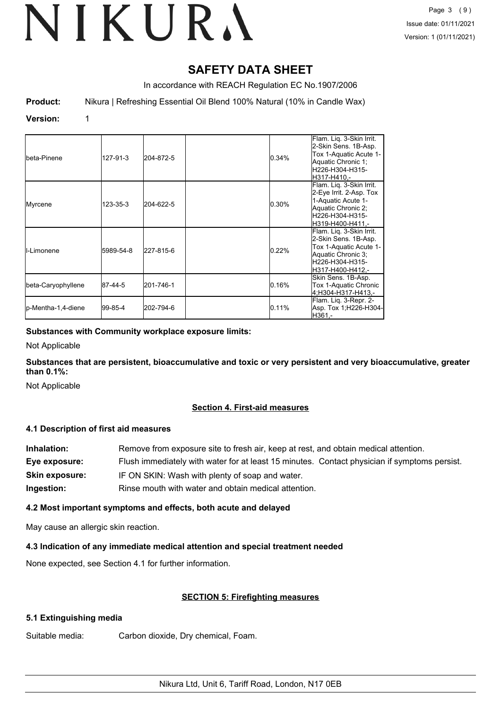# **SAFETY DATA SHEET**

In accordance with REACH Regulation EC No.1907/2006

**Product:** Nikura | Refreshing Essential Oil Blend 100% Natural (10% in Candle Wax)

# **Version:** 1

| Ibeta-Pinene       | 127-91-3  | 204-872-5 | 0.34% | Flam. Liq. 3-Skin Irrit.<br>2-Skin Sens. 1B-Asp.<br>Tox 1-Aquatic Acute 1-<br>Aquatic Chronic 1;<br>H226-H304-H315-<br>lH317-H410.-     |
|--------------------|-----------|-----------|-------|-----------------------------------------------------------------------------------------------------------------------------------------|
| Myrcene            | 123-35-3  | 204-622-5 | 0.30% | Flam. Lig. 3-Skin Irrit.<br>2-Eye Irrit. 2-Asp. Tox<br>1-Aquatic Acute 1-<br>Aquatic Chronic 2;<br>H226-H304-H315-<br>H319-H400-H411.-  |
| II-Limonene        | 5989-54-8 | 227-815-6 | 0.22% | Flam. Lig. 3-Skin Irrit.<br>2-Skin Sens. 1B-Asp.<br>Tox 1-Aquatic Acute 1-<br>Aquatic Chronic 3;<br>H226-H304-H315-<br>H317-H400-H412.- |
| beta-Caryophyllene | 87-44-5   | 201-746-1 | 0.16% | Skin Sens. 1B-Asp.<br>Tox 1-Aquatic Chronic<br>4:H304-H317-H413.-                                                                       |
| p-Mentha-1,4-diene | 99-85-4   | 202-794-6 | 0.11% | Flam. Liq. 3-Repr. 2-<br>Asp. Tox 1;H226-H304-<br>H361.-                                                                                |

**Substances with Community workplace exposure limits:**

Not Applicable

**Substances that are persistent, bioaccumulative and toxic or very persistent and very bioaccumulative, greater than 0.1%:**

Not Applicable

# **Section 4. First-aid measures**

## **4.1 Description of first aid measures**

| Inhalation:           | Remove from exposure site to fresh air, keep at rest, and obtain medical attention.          |
|-----------------------|----------------------------------------------------------------------------------------------|
| Eye exposure:         | Flush immediately with water for at least 15 minutes. Contact physician if symptoms persist. |
| <b>Skin exposure:</b> | IF ON SKIN: Wash with plenty of soap and water.                                              |
| Ingestion:            | Rinse mouth with water and obtain medical attention.                                         |

## **4.2 Most important symptoms and effects, both acute and delayed**

May cause an allergic skin reaction.

## **4.3 Indication of any immediate medical attention and special treatment needed**

None expected, see Section 4.1 for further information.

## **SECTION 5: Firefighting measures**

## **5.1 Extinguishing media**

Suitable media: Carbon dioxide, Dry chemical, Foam.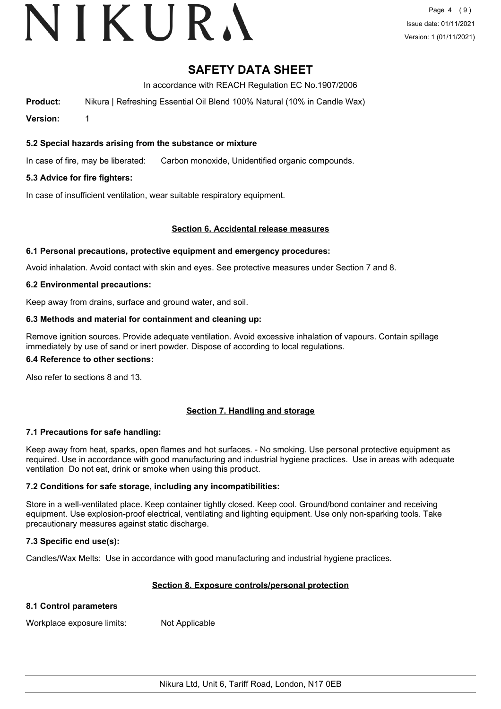# VIKURA

# **SAFETY DATA SHEET**

In accordance with REACH Regulation EC No.1907/2006

**Product:** Nikura | Refreshing Essential Oil Blend 100% Natural (10% in Candle Wax)

**Version:** 1

## **5.2 Special hazards arising from the substance or mixture**

In case of fire, may be liberated: Carbon monoxide, Unidentified organic compounds.

## **5.3 Advice for fire fighters:**

In case of insufficient ventilation, wear suitable respiratory equipment.

## **Section 6. Accidental release measures**

## **6.1 Personal precautions, protective equipment and emergency procedures:**

Avoid inhalation. Avoid contact with skin and eyes. See protective measures under Section 7 and 8.

## **6.2 Environmental precautions:**

Keep away from drains, surface and ground water, and soil.

## **6.3 Methods and material for containment and cleaning up:**

Remove ignition sources. Provide adequate ventilation. Avoid excessive inhalation of vapours. Contain spillage immediately by use of sand or inert powder. Dispose of according to local regulations.

#### **6.4 Reference to other sections:**

Also refer to sections 8 and 13.

# **Section 7. Handling and storage**

## **7.1 Precautions for safe handling:**

Keep away from heat, sparks, open flames and hot surfaces. - No smoking. Use personal protective equipment as required. Use in accordance with good manufacturing and industrial hygiene practices. Use in areas with adequate ventilation Do not eat, drink or smoke when using this product.

## **7.2 Conditions for safe storage, including any incompatibilities:**

Store in a well-ventilated place. Keep container tightly closed. Keep cool. Ground/bond container and receiving equipment. Use explosion-proof electrical, ventilating and lighting equipment. Use only non-sparking tools. Take precautionary measures against static discharge.

## **7.3 Specific end use(s):**

Candles/Wax Melts: Use in accordance with good manufacturing and industrial hygiene practices.

## **Section 8. Exposure controls/personal protection**

## **8.1 Control parameters**

Workplace exposure limits: Not Applicable

Nikura Ltd, Unit 6, Tariff Road, London, N17 0EB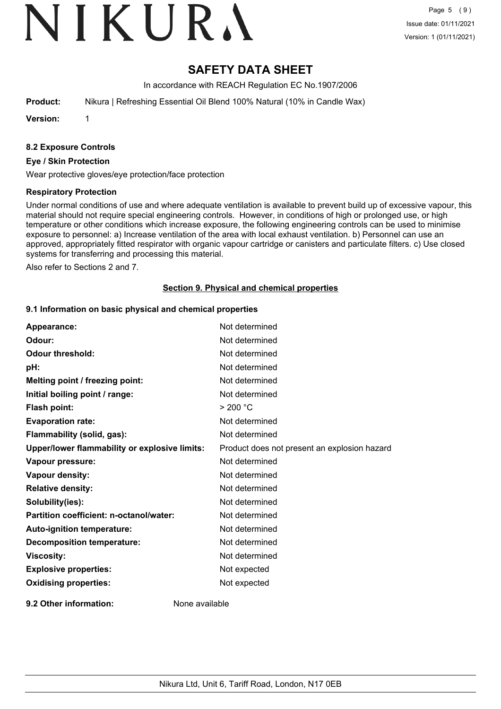# VIKURA

# **SAFETY DATA SHEET**

In accordance with REACH Regulation EC No.1907/2006

**Product:** Nikura | Refreshing Essential Oil Blend 100% Natural (10% in Candle Wax)

**Version:** 1

## **8.2 Exposure Controls**

#### **Eye / Skin Protection**

Wear protective gloves/eye protection/face protection

#### **Respiratory Protection**

Under normal conditions of use and where adequate ventilation is available to prevent build up of excessive vapour, this material should not require special engineering controls. However, in conditions of high or prolonged use, or high temperature or other conditions which increase exposure, the following engineering controls can be used to minimise exposure to personnel: a) Increase ventilation of the area with local exhaust ventilation. b) Personnel can use an approved, appropriately fitted respirator with organic vapour cartridge or canisters and particulate filters. c) Use closed systems for transferring and processing this material.

Also refer to Sections 2 and 7.

#### **Section 9. Physical and chemical properties**

#### **9.1 Information on basic physical and chemical properties**

| Appearance:                                   | Not determined                               |
|-----------------------------------------------|----------------------------------------------|
| Odour:                                        | Not determined                               |
| <b>Odour threshold:</b>                       | Not determined                               |
| pH:                                           | Not determined                               |
| Melting point / freezing point:               | Not determined                               |
| Initial boiling point / range:                | Not determined                               |
| Flash point:                                  | > 200 °C                                     |
| <b>Evaporation rate:</b>                      | Not determined                               |
| Flammability (solid, gas):                    | Not determined                               |
| Upper/lower flammability or explosive limits: | Product does not present an explosion hazard |
| Vapour pressure:                              | Not determined                               |
| Vapour density:                               | Not determined                               |
| <b>Relative density:</b>                      | Not determined                               |
| Solubility(ies):                              | Not determined                               |
| Partition coefficient: n-octanol/water:       | Not determined                               |
| Auto-ignition temperature:                    | Not determined                               |
| <b>Decomposition temperature:</b>             | Not determined                               |
| <b>Viscosity:</b>                             | Not determined                               |
| <b>Explosive properties:</b>                  | Not expected                                 |
| <b>Oxidising properties:</b>                  | Not expected                                 |
| 9.2 Other information:                        | None available                               |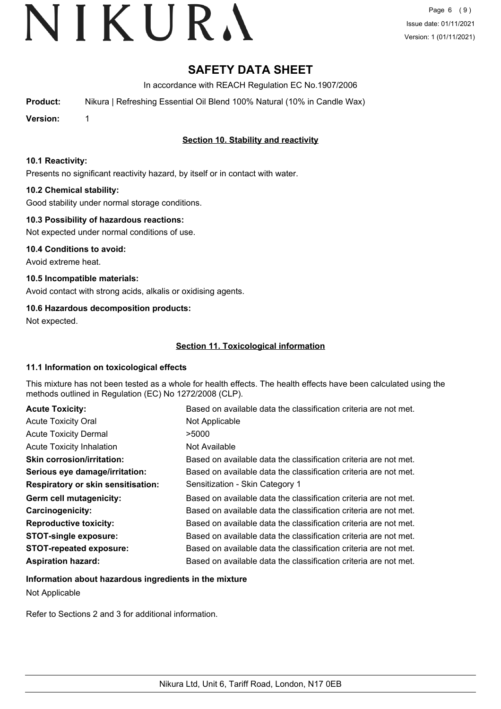Page 6 (9) Issue date: 01/11/2021 Version: 1 (01/11/2021)

# **SAFETY DATA SHEET**

In accordance with REACH Regulation EC No.1907/2006

**Product:** Nikura | Refreshing Essential Oil Blend 100% Natural (10% in Candle Wax)

**Version:** 1

# **Section 10. Stability and reactivity**

## **10.1 Reactivity:**

Presents no significant reactivity hazard, by itself or in contact with water.

## **10.2 Chemical stability:**

Good stability under normal storage conditions.

## **10.3 Possibility of hazardous reactions:**

Not expected under normal conditions of use.

**10.4 Conditions to avoid:** Avoid extreme heat.

**10.5 Incompatible materials:** Avoid contact with strong acids, alkalis or oxidising agents.

# **10.6 Hazardous decomposition products:**

Not expected.

# **Section 11. Toxicological information**

## **11.1 Information on toxicological effects**

This mixture has not been tested as a whole for health effects. The health effects have been calculated using the methods outlined in Regulation (EC) No 1272/2008 (CLP).

| <b>Acute Toxicity:</b>                    | Based on available data the classification criteria are not met. |
|-------------------------------------------|------------------------------------------------------------------|
| <b>Acute Toxicity Oral</b>                | Not Applicable                                                   |
| <b>Acute Toxicity Dermal</b>              | >5000                                                            |
| <b>Acute Toxicity Inhalation</b>          | Not Available                                                    |
| <b>Skin corrosion/irritation:</b>         | Based on available data the classification criteria are not met. |
| Serious eye damage/irritation:            | Based on available data the classification criteria are not met. |
| <b>Respiratory or skin sensitisation:</b> | Sensitization - Skin Category 1                                  |
| Germ cell mutagenicity:                   | Based on available data the classification criteria are not met. |
| <b>Carcinogenicity:</b>                   | Based on available data the classification criteria are not met. |
| <b>Reproductive toxicity:</b>             | Based on available data the classification criteria are not met. |
| <b>STOT-single exposure:</b>              | Based on available data the classification criteria are not met. |
| <b>STOT-repeated exposure:</b>            | Based on available data the classification criteria are not met. |
| <b>Aspiration hazard:</b>                 | Based on available data the classification criteria are not met. |

## **Information about hazardous ingredients in the mixture**

Not Applicable

Refer to Sections 2 and 3 for additional information.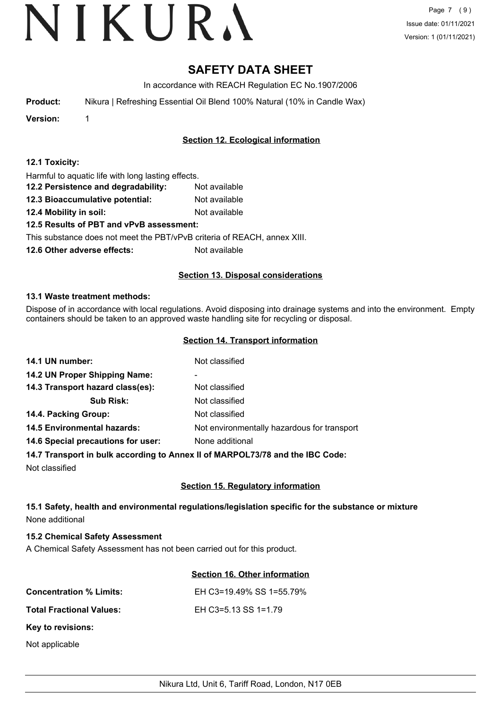# **SAFETY DATA SHEET**

In accordance with REACH Regulation EC No.1907/2006

**Product:** Nikura | Refreshing Essential Oil Blend 100% Natural (10% in Candle Wax)

**Version:** 1

# **Section 12. Ecological information**

|  |  |  |  |  |  | 12.1 Toxicity: |
|--|--|--|--|--|--|----------------|
|--|--|--|--|--|--|----------------|

Harmful to aquatic life with long lasting effects.

- **12.2 Persistence and degradability:** Not available
- **12.3 Bioaccumulative potential:** Not available
- **12.4 Mobility in soil:** Not available

# **12.5 Results of PBT and vPvB assessment:**

This substance does not meet the PBT/vPvB criteria of REACH, annex XIII.

**12.6 Other adverse effects:** Not available

## **Section 13. Disposal considerations**

## **13.1 Waste treatment methods:**

Dispose of in accordance with local regulations. Avoid disposing into drainage systems and into the environment. Empty containers should be taken to an approved waste handling site for recycling or disposal.

## **Section 14. Transport information**

| 14.1 UN number:                    | Not classified                              |
|------------------------------------|---------------------------------------------|
| 14.2 UN Proper Shipping Name:      | -                                           |
| 14.3 Transport hazard class(es):   | Not classified                              |
| <b>Sub Risk:</b>                   | Not classified                              |
| 14.4. Packing Group:               | Not classified                              |
| <b>14.5 Environmental hazards:</b> | Not environmentally hazardous for transport |
| 14.6 Special precautions for user: | None additional                             |
|                                    |                                             |

## **14.7 Transport in bulk according to Annex II of MARPOL73/78 and the IBC Code:**

Not classified

# **Section 15. Regulatory information**

## **15.1 Safety, health and environmental regulations/legislation specific for the substance or mixture** None additional

## **15.2 Chemical Safety Assessment**

A Chemical Safety Assessment has not been carried out for this product.

## **Section 16. Other information**

| <b>Concentration % Limits:</b>  | EH C3=19.49% SS 1=55.79% |
|---------------------------------|--------------------------|
| <b>Total Fractional Values:</b> | EH C3=5.13 SS 1=1.79     |
| Key to revisions:               |                          |
| Not applicable                  |                          |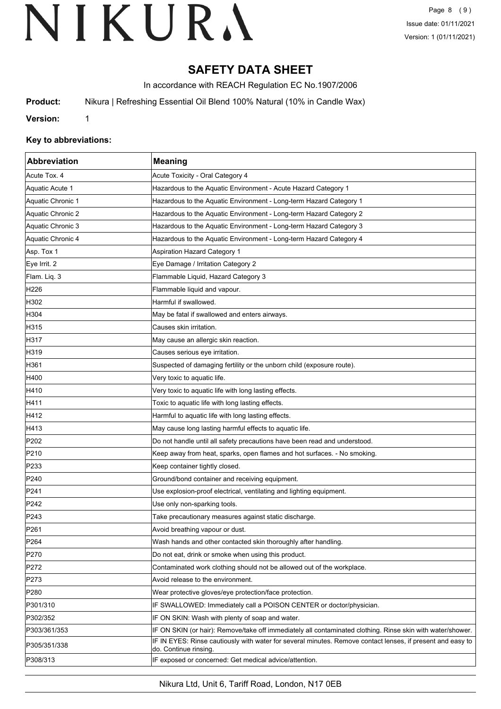# **SAFETY DATA SHEET**

In accordance with REACH Regulation EC No.1907/2006

**Product:** Nikura | Refreshing Essential Oil Blend 100% Natural (10% in Candle Wax)

**Version:** 1

## **Key to abbreviations:**

| Abbreviation      | <b>Meaning</b>                                                                                                                     |
|-------------------|------------------------------------------------------------------------------------------------------------------------------------|
| Acute Tox. 4      | Acute Toxicity - Oral Category 4                                                                                                   |
| Aquatic Acute 1   | Hazardous to the Aquatic Environment - Acute Hazard Category 1                                                                     |
| Aquatic Chronic 1 | Hazardous to the Aquatic Environment - Long-term Hazard Category 1                                                                 |
| Aquatic Chronic 2 | Hazardous to the Aquatic Environment - Long-term Hazard Category 2                                                                 |
| Aquatic Chronic 3 | Hazardous to the Aquatic Environment - Long-term Hazard Category 3                                                                 |
| Aquatic Chronic 4 | Hazardous to the Aquatic Environment - Long-term Hazard Category 4                                                                 |
| Asp. Tox 1        | <b>Aspiration Hazard Category 1</b>                                                                                                |
| Eye Irrit. 2      | Eye Damage / Irritation Category 2                                                                                                 |
| Flam. Liq. 3      | Flammable Liquid, Hazard Category 3                                                                                                |
| H226              | Flammable liquid and vapour.                                                                                                       |
| H302              | Harmful if swallowed.                                                                                                              |
| H304              | May be fatal if swallowed and enters airways.                                                                                      |
| H315              | Causes skin irritation.                                                                                                            |
| H317              | May cause an allergic skin reaction.                                                                                               |
| H319              | Causes serious eye irritation.                                                                                                     |
| H361              | Suspected of damaging fertility or the unborn child (exposure route).                                                              |
| H400              | Very toxic to aquatic life.                                                                                                        |
| H410              | Very toxic to aquatic life with long lasting effects.                                                                              |
| H411              | Toxic to aquatic life with long lasting effects.                                                                                   |
| H412              | Harmful to aquatic life with long lasting effects.                                                                                 |
| H413              | May cause long lasting harmful effects to aquatic life.                                                                            |
| P202              | Do not handle until all safety precautions have been read and understood.                                                          |
| P210              | Keep away from heat, sparks, open flames and hot surfaces. - No smoking.                                                           |
| P233              | Keep container tightly closed.                                                                                                     |
| P240              | Ground/bond container and receiving equipment.                                                                                     |
| P241              | Use explosion-proof electrical, ventilating and lighting equipment.                                                                |
| P242              | Use only non-sparking tools.                                                                                                       |
| P243              | Take precautionary measures against static discharge.                                                                              |
| P <sub>261</sub>  | Avoid breathing vapour or dust.                                                                                                    |
| P <sub>264</sub>  | Wash hands and other contacted skin thoroughly after handling.                                                                     |
| P270              | Do not eat, drink or smoke when using this product.                                                                                |
| P272              | Contaminated work clothing should not be allowed out of the workplace.                                                             |
| P273              | Avoid release to the environment.                                                                                                  |
| P280              | Wear protective gloves/eye protection/face protection.                                                                             |
| P301/310          | IF SWALLOWED: Immediately call a POISON CENTER or doctor/physician.                                                                |
| P302/352          | IF ON SKIN: Wash with plenty of soap and water.                                                                                    |
| P303/361/353      | IF ON SKIN (or hair): Remove/take off immediately all contaminated clothing. Rinse skin with water/shower.                         |
| P305/351/338      | IF IN EYES: Rinse cautiously with water for several minutes. Remove contact lenses, if present and easy to<br>do. Continue rinsing |
| P308/313          | IF exposed or concerned: Get medical advice/attention.                                                                             |